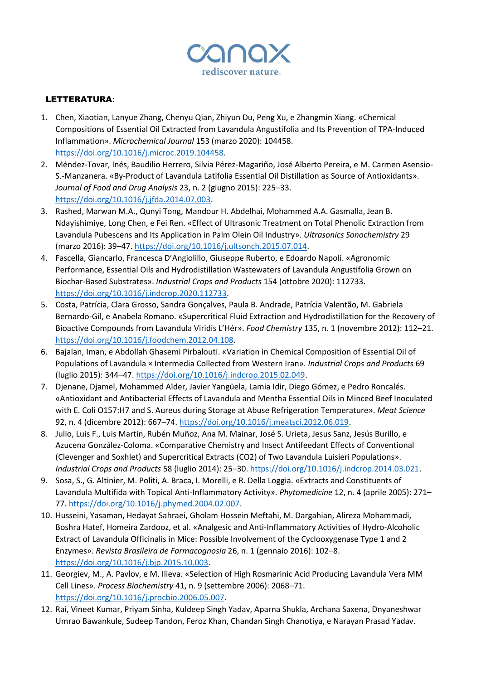

## LETTERATURA:

- 1. Chen, Xiaotian, Lanyue Zhang, Chenyu Qian, Zhiyun Du, Peng Xu, e Zhangmin Xiang. «Chemical Compositions of Essential Oil Extracted from Lavandula Angustifolia and Its Prevention of TPA-Induced Inflammation». *Microchemical Journal* 153 (marzo 2020): 104458. [https://doi.org/10.1016/j.microc.2019.104458.](https://doi.org/10.1016/j.microc.2019.104458)
- 2. Méndez-Tovar, Inés, Baudilio Herrero, Silvia Pérez-Magariño, José Alberto Pereira, e M. Carmen Asensio-S.-Manzanera. «By-Product of Lavandula Latifolia Essential Oil Distillation as Source of Antioxidants». *Journal of Food and Drug Analysis* 23, n. 2 (giugno 2015): 225–33. [https://doi.org/10.1016/j.jfda.2014.07.003.](https://doi.org/10.1016/j.jfda.2014.07.003)
- 3. Rashed, Marwan M.A., Qunyi Tong, Mandour H. Abdelhai, Mohammed A.A. Gasmalla, Jean B. Ndayishimiye, Long Chen, e Fei Ren. «Effect of Ultrasonic Treatment on Total Phenolic Extraction from Lavandula Pubescens and Its Application in Palm Olein Oil Industry». *Ultrasonics Sonochemistry* 29 (marzo 2016): 39–47[. https://doi.org/10.1016/j.ultsonch.2015.07.014.](https://doi.org/10.1016/j.ultsonch.2015.07.014)
- 4. Fascella, Giancarlo, Francesca D'Angiolillo, Giuseppe Ruberto, e Edoardo Napoli. «Agronomic Performance, Essential Oils and Hydrodistillation Wastewaters of Lavandula Angustifolia Grown on Biochar-Based Substrates». *Industrial Crops and Products* 154 (ottobre 2020): 112733. [https://doi.org/10.1016/j.indcrop.2020.112733.](https://doi.org/10.1016/j.indcrop.2020.112733)
- 5. Costa, Patrícia, Clara Grosso, Sandra Gonçalves, Paula B. Andrade, Patrícia Valentão, M. Gabriela Bernardo-Gil, e Anabela Romano. «Supercritical Fluid Extraction and Hydrodistillation for the Recovery of Bioactive Compounds from Lavandula Viridis L'Hér». *Food Chemistry* 135, n. 1 (novembre 2012): 112–21. [https://doi.org/10.1016/j.foodchem.2012.04.108.](https://doi.org/10.1016/j.foodchem.2012.04.108)
- 6. Bajalan, Iman, e Abdollah Ghasemi Pirbalouti. «Variation in Chemical Composition of Essential Oil of Populations of Lavandula × Intermedia Collected from Western Iran». *Industrial Crops and Products* 69 (luglio 2015): 344–47[. https://doi.org/10.1016/j.indcrop.2015.02.049.](https://doi.org/10.1016/j.indcrop.2015.02.049)
- 7. Djenane, Djamel, Mohammed Aïder, Javier Yangüela, Lamia Idir, Diego Gómez, e Pedro Roncalés. «Antioxidant and Antibacterial Effects of Lavandula and Mentha Essential Oils in Minced Beef Inoculated with E. Coli O157:H7 and S. Aureus during Storage at Abuse Refrigeration Temperature». *Meat Science* 92, n. 4 (dicembre 2012): 667–74. [https://doi.org/10.1016/j.meatsci.2012.06.019.](https://doi.org/10.1016/j.meatsci.2012.06.019)
- 8. Julio, Luis F., Luis Martín, Rubén Muñoz, Ana M. Mainar, José S. Urieta, Jesus Sanz, Jesús Burillo, e Azucena González-Coloma. «Comparative Chemistry and Insect Antifeedant Effects of Conventional (Clevenger and Soxhlet) and Supercritical Extracts (CO2) of Two Lavandula Luisieri Populations». *Industrial Crops and Products* 58 (luglio 2014): 25–30[. https://doi.org/10.1016/j.indcrop.2014.03.021.](https://doi.org/10.1016/j.indcrop.2014.03.021)
- 9. Sosa, S., G. Altinier, M. Politi, A. Braca, I. Morelli, e R. Della Loggia. «Extracts and Constituents of Lavandula Multifida with Topical Anti-Inflammatory Activity». *Phytomedicine* 12, n. 4 (aprile 2005): 271– 77. [https://doi.org/10.1016/j.phymed.2004.02.007.](https://doi.org/10.1016/j.phymed.2004.02.007)
- 10. Husseini, Yasaman, Hedayat Sahraei, Gholam Hossein Meftahi, M. Dargahian, Alireza Mohammadi, Boshra Hatef, Homeira Zardooz, et al. «Analgesic and Anti-Inflammatory Activities of Hydro-Alcoholic Extract of Lavandula Officinalis in Mice: Possible Involvement of the Cyclooxygenase Type 1 and 2 Enzymes». *Revista Brasileira de Farmacognosia* 26, n. 1 (gennaio 2016): 102–8. [https://doi.org/10.1016/j.bjp.2015.10.003.](https://doi.org/10.1016/j.bjp.2015.10.003)
- 11. Georgiev, M., A. Pavlov, e M. Ilieva. «Selection of High Rosmarinic Acid Producing Lavandula Vera MM Cell Lines». *Process Biochemistry* 41, n. 9 (settembre 2006): 2068–71. [https://doi.org/10.1016/j.procbio.2006.05.007.](https://doi.org/10.1016/j.procbio.2006.05.007)
- 12. Rai, Vineet Kumar, Priyam Sinha, Kuldeep Singh Yadav, Aparna Shukla, Archana Saxena, Dnyaneshwar Umrao Bawankule, Sudeep Tandon, Feroz Khan, Chandan Singh Chanotiya, e Narayan Prasad Yadav.